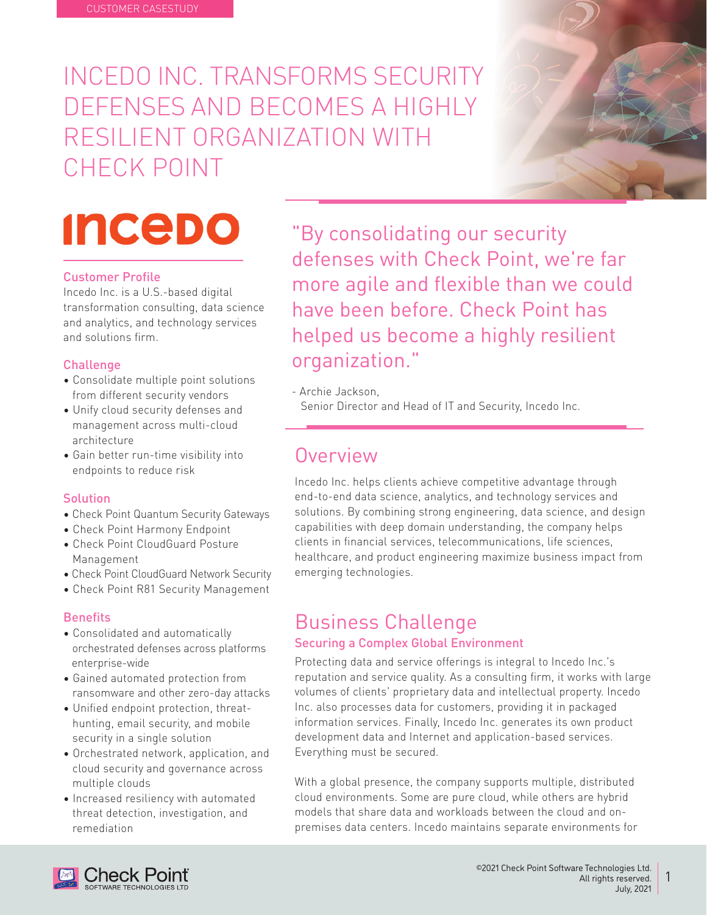INCEDO INC. TRANSFORMS SECURITY DEFENSES AND BECOMES A HIGHLY RESILIENT ORGANIZATION WITH CHECK POINT



### **Customer Profile**

Incedo Inc. is a U.S.-based digital transformation consulting, data science and analytics, and technology services and solutions firm

### **Challenge**

- Consolidate multiple point solutions from different security vendors
- Unify cloud security defenses and management across multi-cloud architecture
- Gain better run-time visibility into endpoints to reduce risk

#### **Solution**

- Check Point Quantum Security Gateways
- Check Point Harmony Endpoint • Check Point CloudGuard Posture
- Management
- Check Point CloudGuard Network Security
- Check Point R81 Security Management

#### **Benefits**

- Consolidated and automatically orchestrated defenses across platforms enterprise-wide
- Gained automated protection from ransomware and other zero-day attacks
- Unified endpoint protection, threathunting, email security, and mobile security in a single solution
- Orchestrated network, application, and cloud security and governance across multiple clouds
- Increased resiliency with automated threat detection, investigation, and remediation

"By consolidating our security defenses with Check Point, we're far more agile and flexible than we could have been before. Check Point has helped us become a highly resilient organization."

- Archie Jackson

Senior Director and Head of IT and Security, Incedo Inc.

### Overview

Incedo Inc. helps clients achieve competitive advantage through end-to-end data science, analytics, and technology services and solutions. By combining strong engineering, data science, and design capabilities with deep domain understanding, the company helps clients in financial services, telecommunications, life sciences, healthcare, and product engineering maximize business impact from emerging technologies.

### **Business Challenge Securing a Complex Global Environment**

### Protecting data and service offerings is integral to Incedo Inc.'s reputation and service quality. As a consulting firm, it works with large volumes of clients' proprietary data and intellectual property. Incedo Inc. also processes data for customers, providing it in packaged information services. Finally, Incedo Inc. generates its own product development data and Internet and application-based services. Everything must be secured.

With a global presence, the company supports multiple, distributed cloud environments. Some are pure cloud, while others are hybrid premises data centers. Incedo maintains separate environments for models that share data and workloads between the cloud and on-



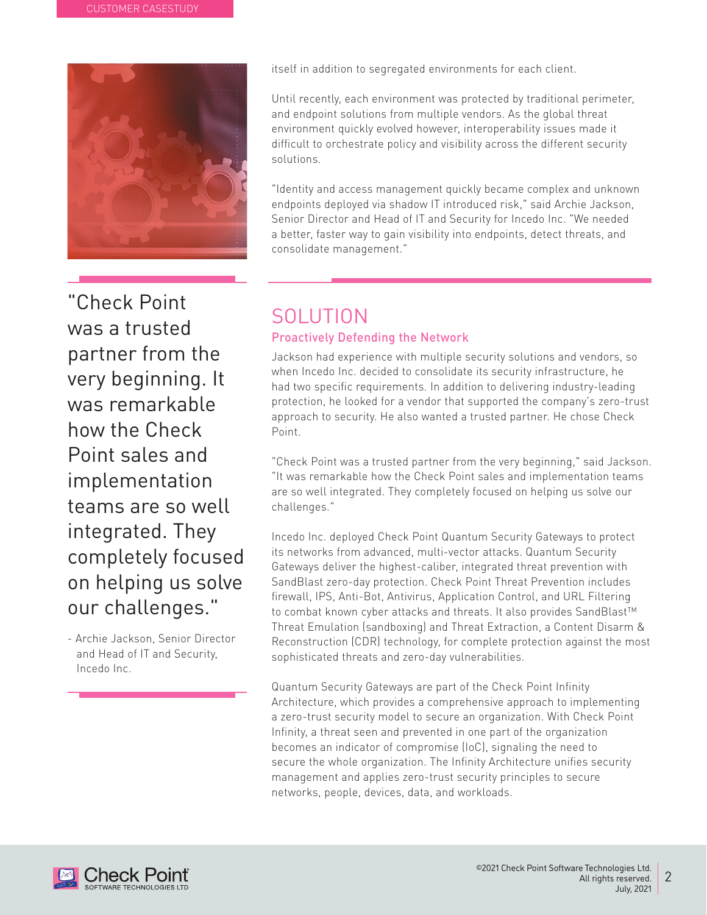

"Check Point was a trusted partner from the very beginning. It was remarkable how the Check Point sales and implementation teams are so well integrated. They completely focused on helping us solve our challenges."

- Archie Jackson, Senior Director and Head of IT and Security, Incedo Inc.

itself in addition to segregated environments for each client.

Until recently, each environment was protected by traditional perimeter, and endpoint solutions from multiple vendors. As the global threat environment quickly evolved however, interoperability issues made it difficult to orchestrate policy and visibility across the different security .solutions

"Identity and access management quickly became complex and unknown endpoints deployed via shadow IT introduced risk," said Archie Jackson, Senior Director and Head of IT and Security for Incedo Inc. "We needed a better, faster way to gain visibility into endpoints, detect threats, and consolidate management."

## SOLUTION

### Proactively Defending the Network

Jackson had experience with multiple security solutions and vendors, so when Incedo Inc. decided to consolidate its security infrastructure, he had two specific requirements. In addition to delivering industry-leading protection, he looked for a vendor that supported the company's zero-trust approach to security. He also wanted a trusted partner. He chose Check Point.

"Check Point was a trusted partner from the very beginning," said Jackson. "It was remarkable how the Check Point sales and implementation teams are so well integrated. They completely focused on helping us solve our ".challenges

Incedo Inc. deployed Check Point Quantum Security Gateways to protect its networks from advanced, multi-vector attacks. Quantum Security Gateways deliver the highest-caliber, integrated threat prevention with SandBlast zero-day protection. Check Point Threat Prevention includes firewall, IPS, Anti-Bot, Antivirus, Application Control, and URL Filtering to combat known cyber attacks and threats. It also provides SandBlast™ Threat Emulation (sandboxing) and Threat Extraction, a Content Disarm & Reconstruction (CDR) technology, for complete protection against the most sophisticated threats and zero-day vulnerabilities.

Quantum Security Gateways are part of the Check Point Infinity Architecture, which provides a comprehensive approach to implementing a zero-trust security model to secure an organization. With Check Point Infinity, a threat seen and prevented in one part of the organization becomes an indicator of compromise (loC), signaling the need to secure the whole organization. The Infinity Architecture unifies security management and applies zero-trust security principles to secure networks, people, devices, data, and workloads.

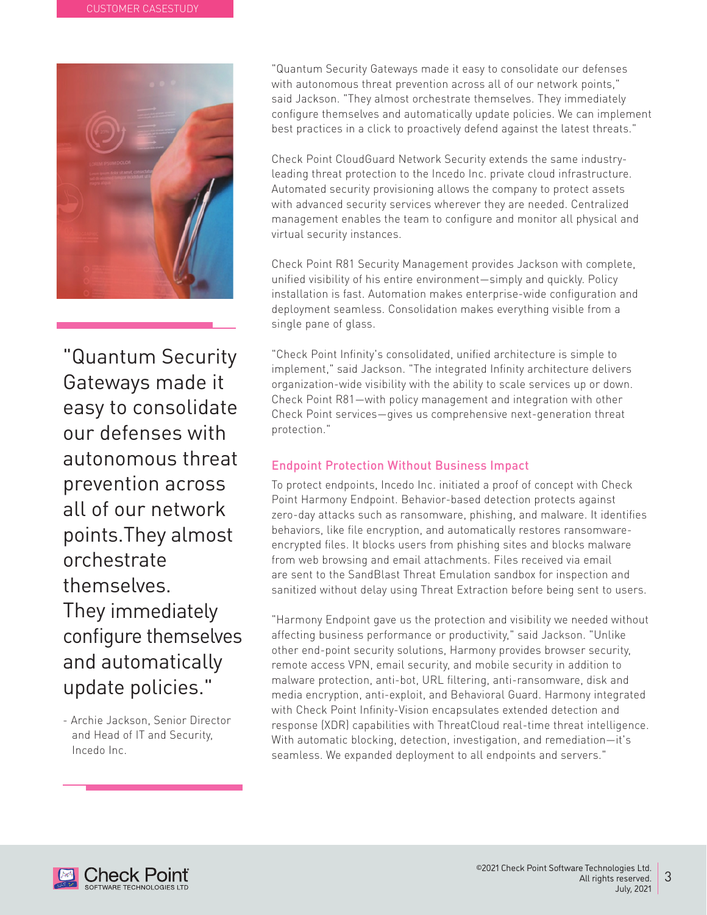

"Quantum Security Gateways made it easy to consolidate our defenses with autonomous threat prevention across all of our network points. They almost orchestrate .themselves They immediately configure themselves and automatically update policies."

- Archie Jackson, Senior Director and Head of IT and Security, Incedo Inc.

"Quantum Security Gateways made it easy to consolidate our defenses with autonomous threat prevention across all of our network points." said Jackson. "They almost orchestrate themselves. They immediately configure themselves and automatically update policies. We can implement best practices in a click to proactively defend against the latest threats."

leading threat protection to the Incedo Inc. private cloud infrastructure. Check Point CloudGuard Network Security extends the same industry-Automated security provisioning allows the company to protect assets with advanced security services wherever they are needed. Centralized management enables the team to configure and monitor all physical and virtual security instances.

Check Point R81 Security Management provides Jackson with complete, unified visibility of his entire environment-simply and quickly. Policy installation is fast. Automation makes enterprise-wide configuration and deployment seamless. Consolidation makes everything visible from a single pane of glass.

"Check Point Infinity's consolidated, unified architecture is simple to implement," said Jackson. "The integrated Infinity architecture delivers organization-wide visibility with the ability to scale services up or down. Check Point R81-with policy management and integration with other Check Point services-gives us comprehensive next-generation threat protection."

### **Endpoint Protection Without Business Impact**

To protect endpoints, Incedo Inc. initiated a proof of concept with Check Point Harmony Endpoint. Behavior-based detection protects against zero-day attacks such as ransomware, phishing, and malware. It identifies encrypted files. It blocks users from phishing sites and blocks malware behaviors, like file encryption, and automatically restores ransomwarefrom web browsing and email attachments. Files received via email are sent to the SandBlast Threat Emulation sandbox for inspection and sanitized without delay using Threat Extraction before being sent to users.

"Harmony Endpoint gave us the protection and visibility we needed without affecting business performance or productivity," said Jackson. "Unlike other end-point security solutions, Harmony provides browser security, remote access VPN, email security, and mobile security in addition to malware protection, anti-bot, URL filtering, anti-ransomware, disk and media encryption, anti-exploit, and Behavioral Guard. Harmony integrated with Check Point Infinity-Vision encapsulates extended detection and response (XDR) capabilities with ThreatCloud real-time threat intelligence. With automatic blocking, detection, investigation, and remediation-it's seamless. We expanded deployment to all endpoints and servers."